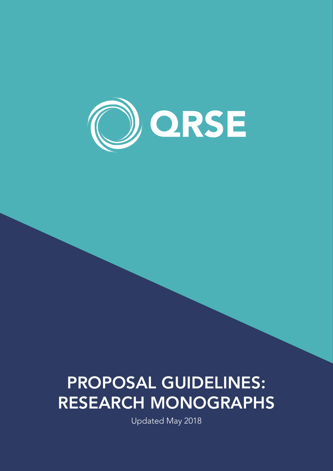

# PROPOSAL GUIDELINES: RESEARCH MONOGRAPHS

Updated May 2018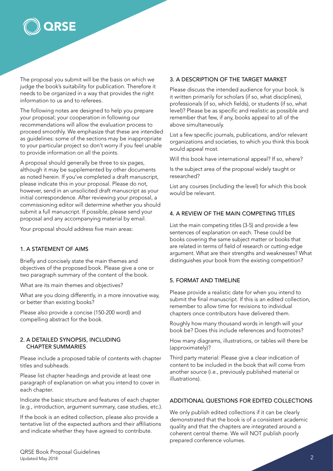

The proposal you submit will be the basis on which we judge the book's suitability for publication. Therefore it needs to be organized in a way that provides the right information to us and to referees.

The following notes are designed to help you prepare your proposal; your cooperation in following our recommendations will allow the evaluation process to proceed smoothly. We emphasize that these are intended as guidelines: some of the sections may be inappropriate to your particular project so don't worry if you feel unable to provide information on all the points.

A proposal should generally be three to six pages, although it may be supplemented by other documents as noted herein. If you've completed a draft manuscript, please indicate this in your proposal. Please do not, however, send in an unsolicited draft manuscript as your initial correspondence. After reviewing your proposal, a commissioning editor will determine whether you should submit a full manuscript. If possible, please send your proposal and any accompanying material by email.

Your proposal should address five main areas:

## 1. A STATEMENT OF AIMS

Briefly and concisely state the main themes and objectives of the proposed book. Please give a one or two paragraph summary of the content of the book.

What are its main themes and objectives?

What are you doing differently, in a more innovative way, or better than existing books?

Please also provide a concise (150-200 word) and compelling abstract for the book.

#### 2. A DETAILED SYNOPSIS, INCLUDING CHAPTER SUMMARIES

Please include a proposed table of contents with chapter titles and subheads.

Please list chapter headings and provide at least one paragraph of explanation on what you intend to cover in each chapter.

Indicate the basic structure and features of each chapter (e.g., introduction, argument summary, case studies, etc.).

If the book is an edited collection, please also provide a tentative list of the expected authors and their affiliations and indicate whether they have agreed to contribute.

## 3. A DESCRIPTION OF THE TARGET MARKET

Please discuss the intended audience for your book. Is it written primarily for scholars (if so, what disciplines), professionals (if so, which fields), or students (if so, what level)? Please be as specific and realistic as possible and remember that few, if any, books appeal to all of the above simultaneously.

List a few specific journals, publications, and/or relevant organizations and societies, to which you think this book would appeal most.

Will this book have international appeal? If so, where?

Is the subject area of the proposal widely taught or researched?

List any courses (including the level) for which this book would be relevant.

#### 4. A REVIEW OF THE MAIN COMPETING TITLES

List the main competing titles (3-5) and provide a few sentences of explanation on each. These could be books covering the same subject matter or books that are related in terms of field of research or cutting-edge argument. What are their strengths and weaknesses? What distinguishes your book from the existing competition?

#### 5. FORMAT AND TIMELINE

Please provide a realistic date for when you intend to submit the final manuscript. If this is an edited collection, remember to allow time for revisions to individual chapters once contributors have delivered them.

Roughly how many thousand words in length will your book be? Does this include references and footnotes?

How many diagrams, illustrations, or tables will there be (approximately)?

Third party material: Please give a clear indication of content to be included in the book that will come from another source (i.e., previously published material or illustrations).

# ADDITIONAL QUESTIONS FOR EDITED COLLECTIONS

We only publish edited collections if it can be clearly demonstrated that the book is of a consistent academic quality and that the chapters are integrated around a coherent central theme. We will NOT publish poorly prepared conference volumes.